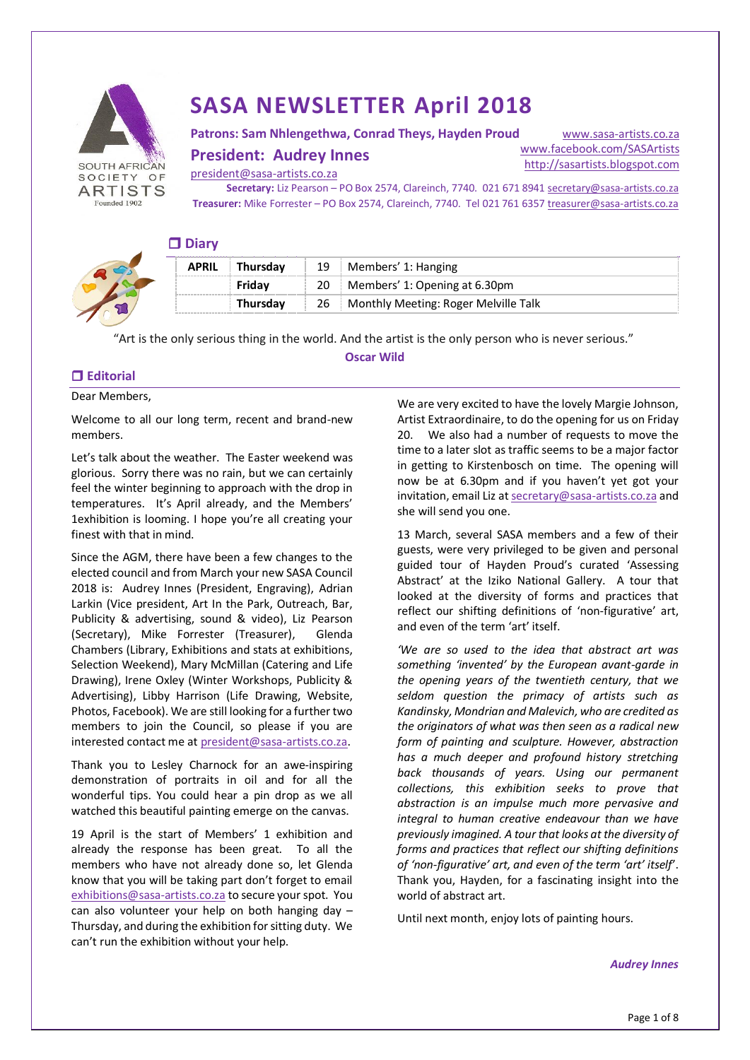

# **SASA NEWSLETTER April 2018**

**Patrons: Sam Nhlengethwa, Conrad Theys, Hayden Proud**

**President: Audrey Innes**

[www.sasa-artists.co.za](http://www.sasa-artists.co.za/) [www.facebook.com/SASArtists](http://www.facebook.com/SASArtists) [http://sasartists.blogspot.com](http://sasartists.blogspot.com/)

[president@sasa-artists.co.za](mailto:president@sasa-artists.co.za)

**Secretary:** Liz Pearson – PO Box 2574, Clareinch, 7740. 021 671 8941 [secretary@sasa-artists.co.za](mailto:secretary@sasa-artists.co.za) **Treasurer:** Mike Forrester – PO Box 2574, Clareinch, 7740. Tel 021 761 6357 [treasurer@sasa-artists.co.za](mailto:treasurer@sasa-artists.co.za) 

# **Diary**



| <b>APRIL</b> | Thursdav        | 19 | Members' 1: Hanging                       |
|--------------|-----------------|----|-------------------------------------------|
|              | Fridav          | 20 | Members' 1: Opening at 6.30pm             |
|              | <b>Thursdav</b> |    | 26   Monthly Meeting: Roger Melville Talk |

"Art is the only serious thing in the world. And the artist is the only person who is never serious."

**[Oscar Wild](https://www.goodreads.com/author/show/3565.Oscar_Wilde)**

# **Editorial**

Dear Members,

Welcome to all our long term, recent and brand-new members.

Let's talk about the weather. The Easter weekend was glorious. Sorry there was no rain, but we can certainly feel the winter beginning to approach with the drop in temperatures. It's April already, and the Members' 1exhibition is looming. I hope you're all creating your finest with that in mind.

Since the AGM, there have been a few changes to the elected council and from March your new SASA Council 2018 is: Audrey Innes (President, Engraving), Adrian Larkin (Vice president, Art In the Park, Outreach, Bar, Publicity & advertising, sound & video), Liz Pearson (Secretary), Mike Forrester (Treasurer), Glenda Chambers (Library, Exhibitions and stats at exhibitions, Selection Weekend), Mary McMillan (Catering and Life Drawing), Irene Oxley (Winter Workshops, Publicity & Advertising), Libby Harrison (Life Drawing, Website, Photos, Facebook). We are still looking for a further two members to join the Council, so please if you are interested contact me at [president@sasa-artists.co.za.](mailto:president@sasa-artists.co.za)

Thank you to Lesley Charnock for an awe-inspiring demonstration of portraits in oil and for all the wonderful tips. You could hear a pin drop as we all watched this beautiful painting emerge on the canvas.

19 April is the start of Members' 1 exhibition and already the response has been great. To all the members who have not already done so, let Glenda know that you will be taking part don't forget to email [exhibitions@sasa-artists.co.za](mailto:exhibitions@sasa-artists.co.za) to secure your spot. You can also volunteer your help on both hanging day – Thursday, and during the exhibition for sitting duty. We can't run the exhibition without your help.

We are very excited to have the lovely Margie Johnson, Artist Extraordinaire, to do the opening for us on Friday 20. We also had a number of requests to move the time to a later slot as traffic seems to be a major factor in getting to Kirstenbosch on time. The opening will now be at 6.30pm and if you haven't yet got your invitation, email Liz a[t secretary@sasa-artists.co.za](mailto:secretary@sasa-artists.co.za) and she will send you one.

13 March, several SASA members and a few of their guests, were very privileged to be given and personal guided tour of Hayden Proud's curated 'Assessing Abstract' at the Iziko National Gallery. A tour that looked at the diversity of forms and practices that reflect our shifting definitions of 'non-figurative' art, and even of the term 'art' itself.

*'We are so used to the idea that abstract art was something 'invented' by the European avant-garde in the opening years of the twentieth century, that we seldom question the primacy of artists such as Kandinsky, Mondrian and Malevich, who are credited as the originators of what was then seen as a radical new form of painting and sculpture. However, abstraction has a much deeper and profound history stretching back thousands of years. Using our permanent collections, this exhibition seeks to prove that abstraction is an impulse much more pervasive and integral to human creative endeavour than we have previously imagined. A tour that looks at the diversity of forms and practices that reflect our shifting definitions of 'non-figurative' art, and even of the term 'art' itself*'. Thank you, Hayden, for a fascinating insight into the world of abstract art.

Until next month, enjoy lots of painting hours.

*Audrey Innes*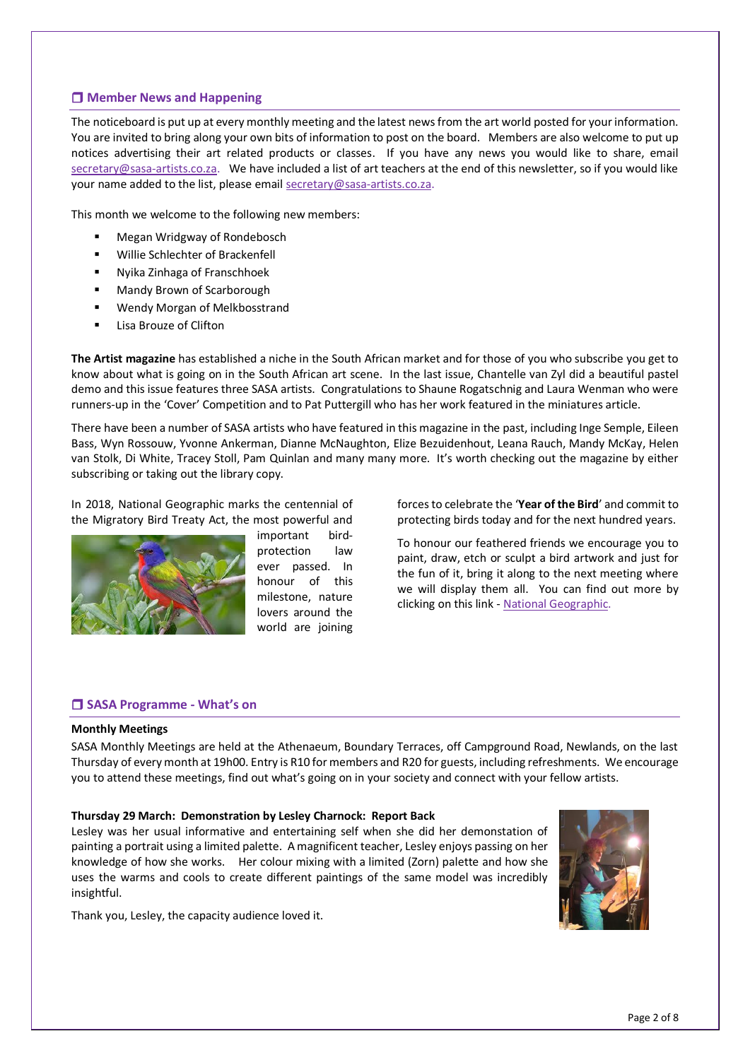# **Member News and Happening**

The noticeboard is put up at every monthly meeting and the latest news from the art world posted for your information. You are invited to bring along your own bits of information to post on the board. Members are also welcome to put up notices advertising their art related products or classes. If you have any news you would like to share, email [secretary@sasa-artists.co.za.](mailto:secretary@sasa-artists.co.za) We have included a list of art teachers at the end of this newsletter, so if you would like your name added to the list, please email [secretary@sasa-artists.co.za.](mailto:secretary@sasa-artists.co.za)

This month we welcome to the following new members:

- Megan Wridgway of Rondebosch
- Willie Schlechter of Brackenfell
- Nyika Zinhaga of Franschhoek
- Mandy Brown of Scarborough
- Wendy Morgan of Melkbosstrand
- **Lisa Brouze of Clifton**

**The Artist magazine** has established a niche in the South African market and for those of you who subscribe you get to know about what is going on in the South African art scene. In the last issue, Chantelle van Zyl did a beautiful pastel demo and this issue features three SASA artists. Congratulations to Shaune Rogatschnig and Laura Wenman who were runners-up in the 'Cover' Competition and to Pat Puttergill who has her work featured in the miniatures article.

There have been a number of SASA artists who have featured in this magazine in the past, including Inge Semple, Eileen Bass, Wyn Rossouw, Yvonne Ankerman, Dianne McNaughton, Elize Bezuidenhout, Leana Rauch, Mandy McKay, Helen van Stolk, Di White, Tracey Stoll, Pam Quinlan and many many more. It's worth checking out the magazine by either subscribing or taking out the library copy.

In 2018, National Geographic marks the centennial of the Migratory Bird Treaty Act, the most powerful and



important birdprotection law ever passed. In honour of this milestone, nature lovers around the world are joining forces to celebrate the '**Year of the Bird**' and commit to protecting birds today and for the next hundred years.

To honour our feathered friends we encourage you to paint, draw, etch or sculpt a bird artwork and just for the fun of it, bring it along to the next meeting where we will display them all. You can find out more by clicking on this link - [National Geographic.](http://press.nationalgeographic.com/2018/01/05/national-geographic-announces-2018-year-of-the-bird-campaign-a-year-long-effort-dedicated-to-celebrating-and-protecting-birds/)

## **SASA Programme - What's on**

#### **Monthly Meetings**

SASA Monthly Meetings are held at the Athenaeum, Boundary Terraces, off Campground Road, Newlands, on the last Thursday of every month at 19h00. Entry is R10 for members and R20 for guests, including refreshments. We encourage you to attend these meetings, find out what's going on in your society and connect with your fellow artists.

#### **Thursday 29 March: Demonstration by Lesley Charnock: Report Back**

Lesley was her usual informative and entertaining self when she did her demonstation of painting a portrait using a limited palette. A magnificent teacher, Lesley enjoys passing on her knowledge of how she works. Her colour mixing with a limited (Zorn) palette and how she uses the warms and cools to create different paintings of the same model was incredibly insightful.

Thank you, Lesley, the capacity audience loved it.

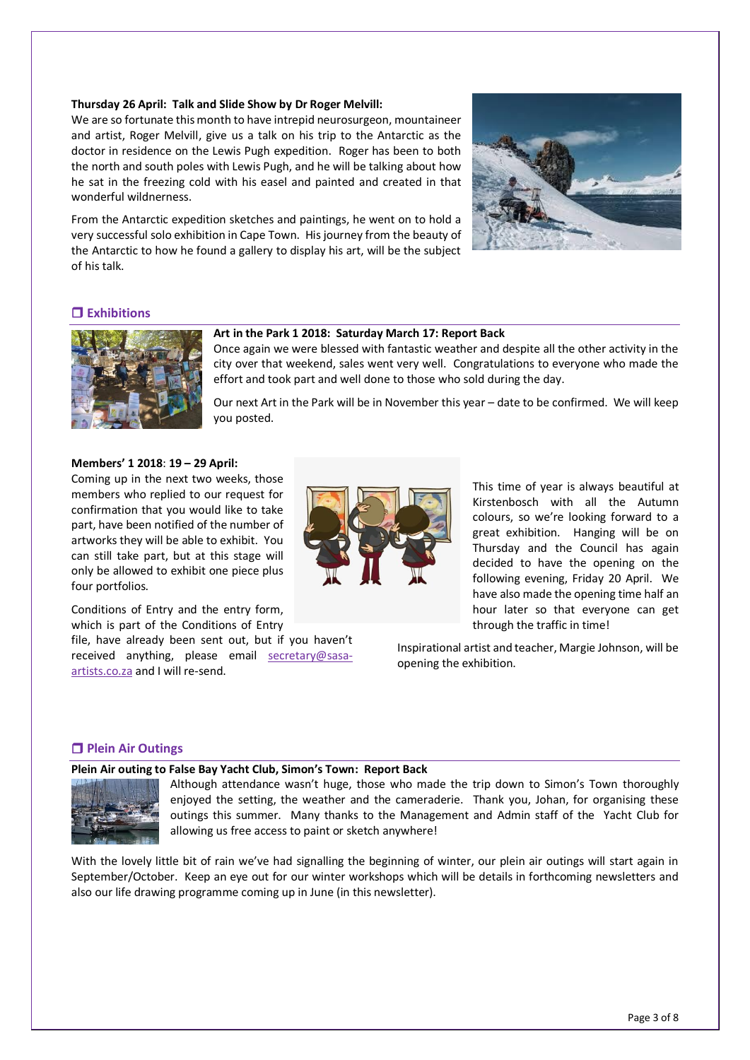#### **Thursday 26 April: Talk and Slide Show by Dr Roger Melvill:**

We are so fortunate this month to have intrepid neurosurgeon, mountaineer and artist, Roger Melvill, give us a talk on his trip to the Antarctic as the doctor in residence on the Lewis Pugh expedition. Roger has been to both the north and south poles with Lewis Pugh, and he will be talking about how he sat in the freezing cold with his easel and painted and created in that wonderful wildnerness.

From the Antarctic expedition sketches and paintings, he went on to hold a very successful solo exhibition in Cape Town. His journey from the beauty of the Antarctic to how he found a gallery to display his art, will be the subject of his talk.



## **Exhibitions**



#### **Art in the Park 1 2018: Saturday March 17: Report Back**

Once again we were blessed with fantastic weather and despite all the other activity in the city over that weekend, sales went very well. Congratulations to everyone who made the effort and took part and well done to those who sold during the day.

Our next Art in the Park will be in November this year – date to be confirmed. We will keep you posted.

#### **Members' 1 2018**: **19 – 29 April:**

Coming up in the next two weeks, those members who replied to our request for confirmation that you would like to take part, have been notified of the number of artworks they will be able to exhibit. You can still take part, but at this stage will only be allowed to exhibit one piece plus four portfolios.

Conditions of Entry and the entry form, which is part of the Conditions of Entry

file, have already been sent out, but if you haven't received anything, please email [secretary@sasa](mailto:secretary@sasa-artists.co.za)[artists.co.za](mailto:secretary@sasa-artists.co.za) and I will re-send.



This time of year is always beautiful at Kirstenbosch with all the Autumn colours, so we're looking forward to a great exhibition. Hanging will be on Thursday and the Council has again decided to have the opening on the following evening, Friday 20 April. We have also made the opening time half an hour later so that everyone can get through the traffic in time!

Inspirational artist and teacher, Margie Johnson, will be opening the exhibition.

#### **Plein Air Outings**

#### **Plein Air outing to False Bay Yacht Club, Simon's Town: Report Back**



Although attendance wasn't huge, those who made the trip down to Simon's Town thoroughly enjoyed the setting, the weather and the cameraderie. Thank you, Johan, for organising these outings this summer. Many thanks to the Management and Admin staff of the Yacht Club for allowing us free access to paint or sketch anywhere!

With the lovely little bit of rain we've had signalling the beginning of winter, our plein air outings will start again in September/October. Keep an eye out for our winter workshops which will be details in forthcoming newsletters and also our life drawing programme coming up in June (in this newsletter).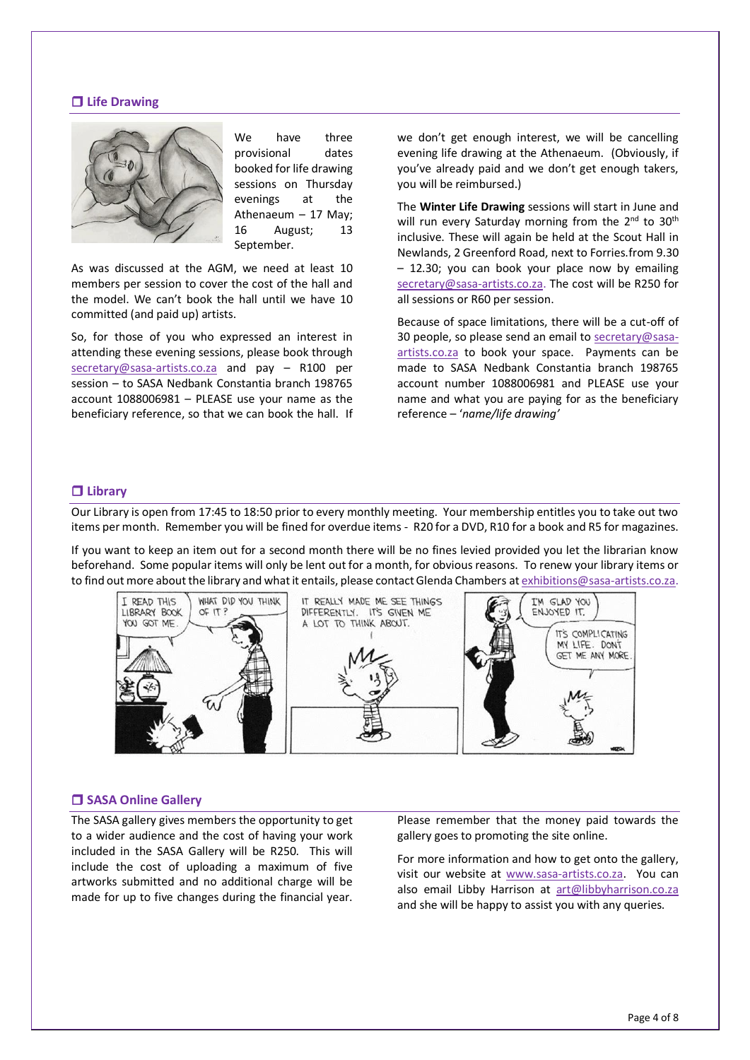## **Life Drawing**



We have three provisional dates booked for life drawing sessions on Thursday evenings at the Athenaeum – 17 May; 16 August; 13 September.

As was discussed at the AGM, we need at least 10 members per session to cover the cost of the hall and the model. We can't book the hall until we have 10 committed (and paid up) artists.

So, for those of you who expressed an interest in attending these evening sessions, please book through [secretary@sasa-artists.co.za](mailto:secretary@sasa-artists.co.za) and pay – R100 per session – to SASA Nedbank Constantia branch 198765 account 1088006981 – PLEASE use your name as the beneficiary reference, so that we can book the hall. If we don't get enough interest, we will be cancelling evening life drawing at the Athenaeum. (Obviously, if you've already paid and we don't get enough takers, you will be reimbursed.)

The **Winter Life Drawing** sessions will start in June and will run every Saturday morning from the  $2^{nd}$  to  $30^{th}$ inclusive. These will again be held at the Scout Hall in Newlands, 2 Greenford Road, next to Forries.from 9.30 – 12.30; you can book your place now by emailing [secretary@sasa-artists.co.za.](mailto:secretary@sasa-artists.co.za) The cost will be R250 for all sessions or R60 per session.

Because of space limitations, there will be a cut-off of 30 people, so please send an email t[o secretary@sasa](mailto:secretary@sasa-artists.co.za)[artists.co.za](mailto:secretary@sasa-artists.co.za) to book your space. Payments can be made to SASA Nedbank Constantia branch 198765 account number 1088006981 and PLEASE use your name and what you are paying for as the beneficiary reference – '*name/life drawing'*

## **Library**

Our Library is open from 17:45 to 18:50 prior to every monthly meeting. Your membership entitles you to take out two items per month. Remember you will be fined for overdue items - R20 for a DVD, R10 for a book and R5 for magazines.

If you want to keep an item out for a second month there will be no fines levied provided you let the librarian know beforehand. Some popular items will only be lent out for a month, for obvious reasons. To renew your library items or to find out more about the library and what it entails, please contact Glenda Chambers a[t exhibitions@sasa-artists.co.za.](mailto:exhibitions@sasa-artists.co.za)



## **SASA Online Gallery**

The SASA gallery gives members the opportunity to get to a wider audience and the cost of having your work included in the SASA Gallery will be R250. This will include the cost of uploading a maximum of five artworks submitted and no additional charge will be made for up to five changes during the financial year.

Please remember that the money paid towards the gallery goes to promoting the site online.

For more information and how to get onto the gallery, visit our website at [www.sasa-artists.co.za.](http://www.sasa-artists.co.za/) You can also email Libby Harrison at [art@libbyharrison.co.za](mailto:art@libbyharrison.co.za) and she will be happy to assist you with any queries.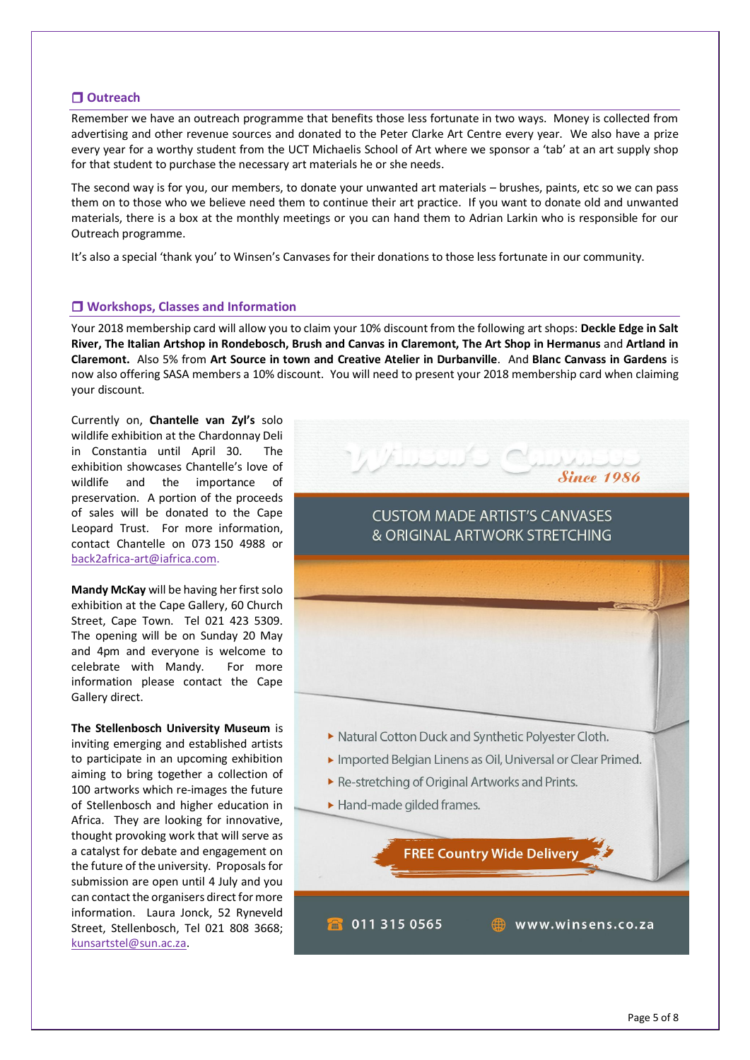# **Outreach**

Remember we have an outreach programme that benefits those less fortunate in two ways. Money is collected from advertising and other revenue sources and donated to the Peter Clarke Art Centre every year. We also have a prize every year for a worthy student from the UCT Michaelis School of Art where we sponsor a 'tab' at an art supply shop for that student to purchase the necessary art materials he or she needs.

The second way is for you, our members, to donate your unwanted art materials – brushes, paints, etc so we can pass them on to those who we believe need them to continue their art practice. If you want to donate old and unwanted materials, there is a box at the monthly meetings or you can hand them to Adrian Larkin who is responsible for our Outreach programme.

It's also a special 'thank you' to Winsen's Canvases for their donations to those less fortunate in our community.

#### **Workshops, Classes and Information**

Your 2018 membership card will allow you to claim your 10% discount from the following art shops: **Deckle Edge in Salt River, The Italian Artshop in Rondebosch, Brush and Canvas in Claremont, The Art Shop in Hermanus** and **Artland in Claremont.** Also 5% from **Art Source in town and Creative Atelier in Durbanville**. And **Blanc Canvass in Gardens** is now also offering SASA members a 10% discount. You will need to present your 2018 membership card when claiming your discount.

Currently on, **Chantelle van Zyl's** solo wildlife exhibition at the Chardonnay Deli in Constantia until April 30. The exhibition showcases Chantelle's love of wildlife and the importance of preservation. A portion of the proceeds of sales will be donated to the Cape Leopard Trust. For more information, contact Chantelle on 073 150 4988 or [back2africa-art@iafrica.com.](mailto:back2africa-art@iafrica.com)

**Mandy McKay** will be having her first solo exhibition at the Cape Gallery, 60 Church Street, Cape Town. Tel 021 423 5309. The opening will be on Sunday 20 May and 4pm and everyone is welcome to celebrate with Mandy. For more information please contact the Cape Gallery direct.

**The Stellenbosch University Museum** is inviting emerging and established artists to participate in an upcoming exhibition aiming to bring together a collection of 100 artworks which re-images the future of Stellenbosch and higher education in Africa. They are looking for innovative, thought provoking work that will serve as a catalyst for debate and engagement on the future of the university. Proposals for submission are open until 4 July and you can contact the organisers direct for more information. Laura Jonck, 52 Ryneveld Street, Stellenbosch, Tel 021 808 3668; [kunsartstel@sun.ac.za.](mailto:kunsartstel@sun.ac.za)

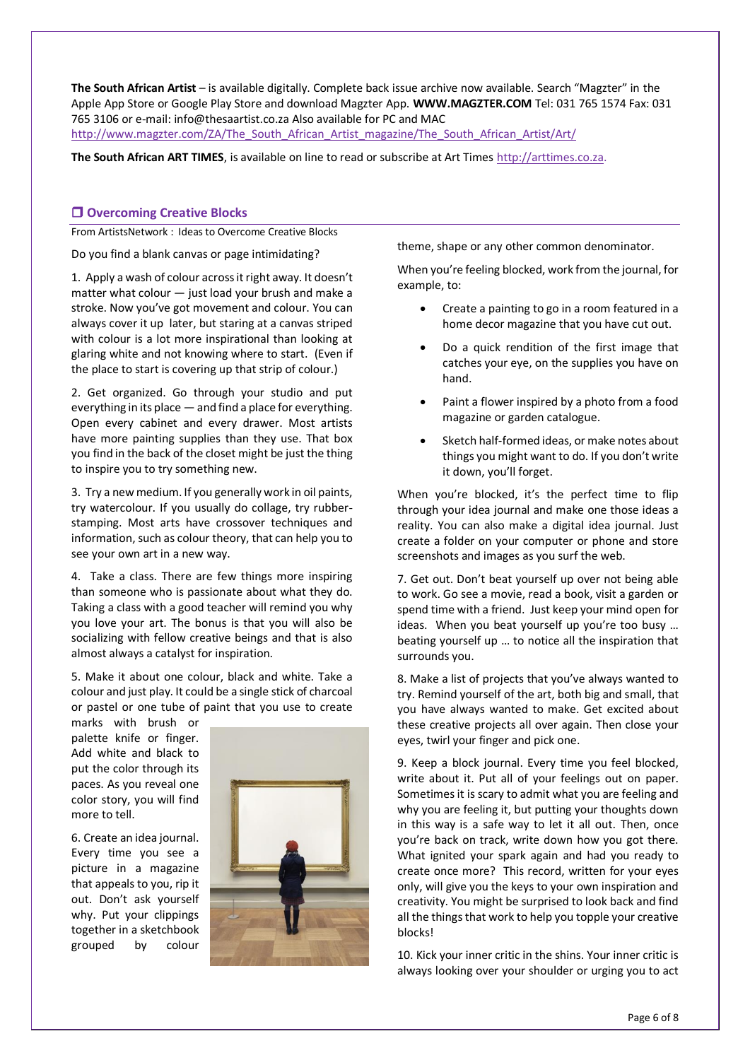**The South African Artist** – is available digitally. Complete back issue archive now available. Search "Magzter" in the Apple App Store or Google Play Store and download Magzter App. **WWW.MAGZTER.COM** Tel: 031 765 1574 Fax: 031 765 3106 or e-mail: info@thesaartist.co.za Also available for PC and MAC [http://www.magzter.com/ZA/The\\_South\\_African\\_Artist\\_magazine/The\\_South\\_African\\_Artist/Art/](http://www.magzter.com/ZA/The_South_African_Artist_magazine/The_South_African_Artist/Art/)

**The South African ART TIMES**, is available on line to read or subscribe at Art Times [http://arttimes.co.za.](http://arttimes.co.za/)

# **Overcoming Creative Blocks**

From ArtistsNetwork : Ideas to Overcome Creative Blocks

Do you find a blank canvas or page intimidating?

1. Apply a wash of colour across it right away. It doesn't matter what colour — just load your brush and make a stroke. Now you've got movement and colour. You can always cover it up later, but staring at a canvas striped with colour is a lot more inspirational than looking at glaring white and not knowing where to start. (Even if the place to start is covering up that strip of colour.)

2. Get organized. Go through your studio and put everything in its place — and find a place for everything. Open every cabinet and every drawer. Most artists have more painting supplies than they use. That box you find in the back of the closet might be just the thing to inspire you to try something new.

3. Try a new medium. If you generally work in oil paints, try watercolour. If you usually do collage, try rubberstamping. Most arts have crossover techniques and information, such as colour theory, that can help you to see your own art in a new way.

4. Take a class. There are few things more inspiring than someone who is passionate about what they do. Taking a class with a good teacher will remind you why you love your art. The bonus is that you will also be socializing with fellow creative beings and that is also almost always a catalyst for inspiration.

5. Make it about one colour, black and white. Take a colour and just play. It could be a single stick of charcoal or pastel or one tube of paint that you use to create

marks with brush or palette knife or finger. Add white and black to put the color through its paces. As you reveal one color story, you will find more to tell.

6. Create an idea journal. Every time you see a picture in a magazine that appeals to you, rip it out. Don't ask yourself why. Put your clippings together in a sketchbook grouped by colour



theme, shape or any other common denominator.

When you're feeling blocked, work from the journal, for example, to:

- Create a painting to go in a room featured in a home decor magazine that you have cut out.
- Do a quick rendition of the first image that catches your eye, on the supplies you have on hand.
- Paint a flower inspired by a photo from a food magazine or garden catalogue.
- Sketch half-formed ideas, or make notes about things you might want to do. If you don't write it down, you'll forget.

When you're blocked, it's the perfect time to flip through your idea journal and make one those ideas a reality. You can also make a digital idea journal. Just create a folder on your computer or phone and store screenshots and images as you surf the web.

7. Get out. Don't beat yourself up over not being able to work. Go see a movie, read a book, visit a garden or spend time with a friend. Just keep your mind open for ideas. When you beat yourself up you're too busy … beating yourself up … to notice all the inspiration that surrounds you.

8. Make a list of projects that you've always wanted to try. Remind yourself of the art, both big and small, that you have always wanted to make. Get excited about these creative projects all over again. Then close your eyes, twirl your finger and pick one.

9. Keep a block journal. Every time you feel blocked, write about it. Put all of your feelings out on paper. Sometimes it is scary to admit what you are feeling and why you are feeling it, but putting your thoughts down in this way is a safe way to let it all out. Then, once you're back on track, write down how you got there. What ignited your spark again and had you ready to create once more? This record, written for your eyes only, will give you the keys to your own inspiration and creativity. You might be surprised to look back and find all the things that work to help you topple your creative blocks!

10. Kick your inner critic in the shins. Your inner critic is always looking over your shoulder or urging you to act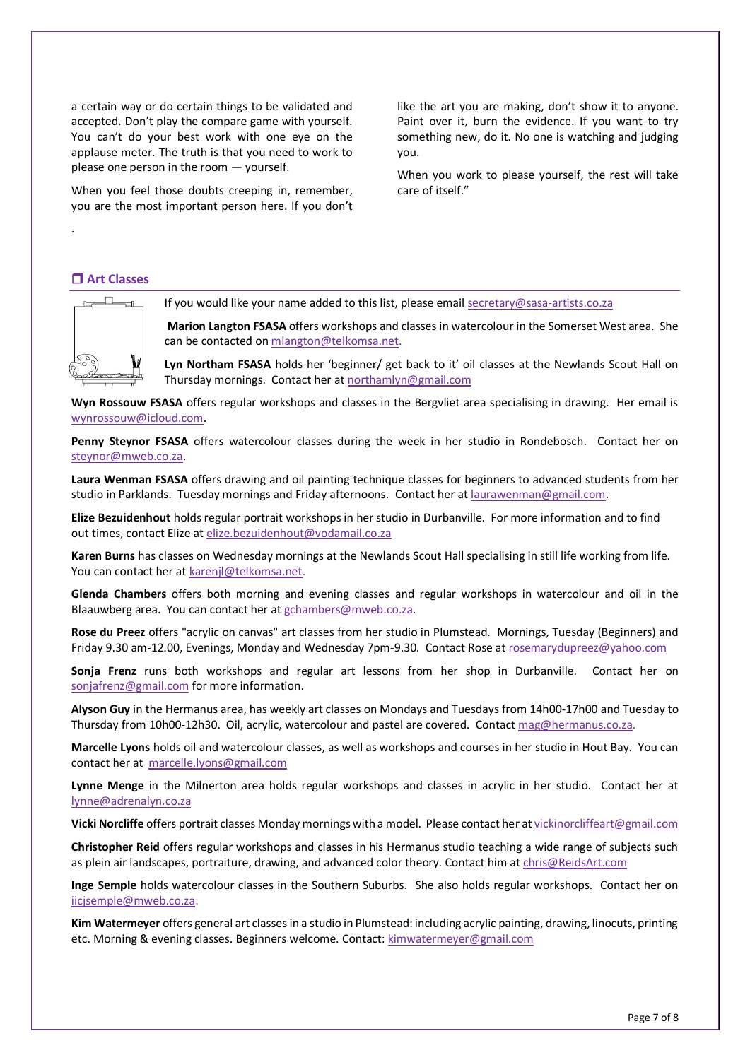a certain way or do certain things to be validated and accepted. Don't play the compare game with yourself. You can't do your best work with one eye on the applause meter. The truth is that you need to work to please one person in the room — yourself.

When you feel those doubts creeping in, remember, you are the most important person here. If you don't like the art you are making, don't show it to anyone. Paint over it, burn the evidence. If you want to try something new, do it. No one is watching and judging you.

When you work to please yourself, the rest will take care of itself."

#### **Art Classes**

.



If you would like your name added to this list, please email [secretary@sasa-artists.co.za](mailto:secretary@sasa-artists.co.za)

**Marion Langton FSASA** offers workshops and classes in watercolour in the Somerset West area. She can be contacted o[n mlangton@telkomsa.net.](mailto:mlangton@telkomsa.net)

**Lyn Northam FSASA** holds her 'beginner/ get back to it' oil classes at the Newlands Scout Hall on Thursday mornings. Contact her a[t northamlyn@gmail.com](mailto:northamlyn@gmail.com)

**Wyn Rossouw FSASA** offers regular workshops and classes in the Bergvliet area specialising in drawing. Her email is [wynrossouw@icloud.com.](mailto:wynrossouw@icloud.com) 

**Penny Steynor FSASA** offers watercolour classes during the week in her studio in Rondebosch. Contact her on [steynor@mweb.co.za.](mailto:steynor@mweb.co.za)

**Laura Wenman FSASA** offers drawing and oil painting technique classes for beginners to advanced students from her studio in Parklands. Tuesday mornings and Friday afternoons. Contact her a[t laurawenman@gmail.com.](mailto:laurawenman@gmail.com)

**Elize Bezuidenhout** holds regular portrait workshops in her studio in Durbanville. For more information and to find out times, contact Elize at [elize.bezuidenhout@vodamail.co.za](mailto:elize.bezuidenhout@vodamail.co.za)

**Karen Burns** has classes on Wednesday mornings at the Newlands Scout Hall specialising in still life working from life. You can contact her at [karenjl@telkomsa.net.](mailto:karenjl@telkomsa.net)

**Glenda Chambers** offers both morning and evening classes and regular workshops in watercolour and oil in the Blaauwberg area. You can contact her a[t gchambers@mweb.co.za.](mailto:gchambers@mweb.co.za)

**Rose du Preez** offers "acrylic on canvas" art classes from her studio in Plumstead. Mornings, Tuesday (Beginners) and Friday 9.30 am-12.00, Evenings, Monday and Wednesday 7pm-9.30. Contact Rose a[t rosemarydupreez@yahoo.com](mailto:rosemarydupreez@yahoo.com)

**Sonja Frenz** runs both workshops and regular art lessons from her shop in Durbanville. Contact her on [sonjafrenz@gmail.com](mailto:sonjafrenz@gmail.com) for more information.

**Alyson Guy** in the Hermanus area, has weekly art classes on Mondays and Tuesdays from 14h00-17h00 and Tuesday to Thursday from 10h00-12h30. Oil, acrylic, watercolour and pastel are covered. Contact [mag@hermanus.co.za.](mailto:mag@hermanus.co.za)

**Marcelle Lyons** holds oil and watercolour classes, as well as workshops and courses in her studio in Hout Bay. You can contact her at [marcelle.lyons@gmail.com](mailto:marcelle.lyons@gmail.com)

**Lynne Menge** in the Milnerton area holds regular workshops and classes in acrylic in her studio. Contact her at [lynne@adrenalyn.co.za](mailto:lynne@adrenalyn.co.za)

**Vicki Norcliffe** offers portrait classes Monday mornings with a model. Please contact her a[t vickinorcliffeart@gmail.com](mailto:vickinorcliffeart@gmail.com)

**Christopher Reid** offers regular workshops and classes in his Hermanus studio teaching a wide range of subjects such as plein air landscapes, portraiture, drawing, and advanced color theory. Contact him at [chris@ReidsArt.com](mailto:chris@ReidsArt.com)

**Inge Semple** holds watercolour classes in the Southern Suburbs. She also holds regular workshops. Contact her on [iicjsemple@mweb.co.za.](mailto:iicjsemple@mweb.co.za)

**Kim Watermeyer** offers general art classes in a studio in Plumstead: including acrylic painting, drawing, linocuts, printing etc. Morning & evening classes. Beginners welcome. Contact: [kimwatermeyer@gmail.com](mailto:kimwatermeyer@gmail.com)